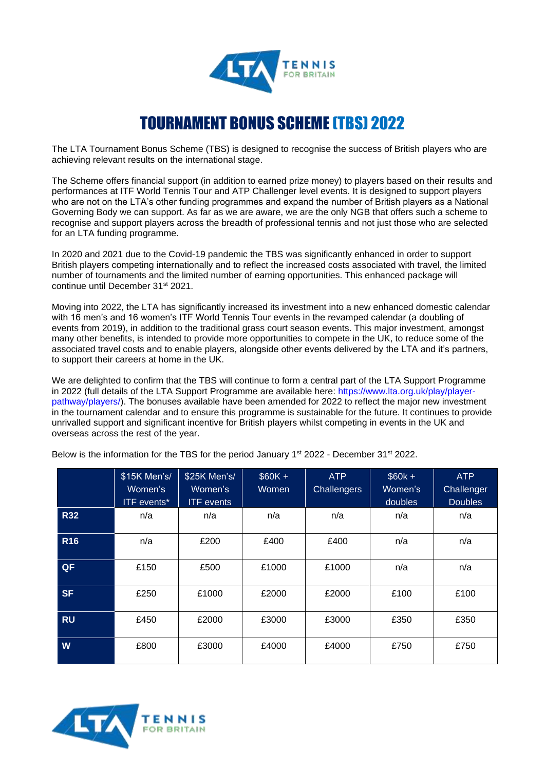

## TOURNAMENT BONUS SCHEME (TBS) 2022

The LTA Tournament Bonus Scheme (TBS) is designed to recognise the success of British players who are achieving relevant results on the international stage.

The Scheme offers financial support (in addition to earned prize money) to players based on their results and performances at ITF World Tennis Tour and ATP Challenger level events. It is designed to support players who are not on the LTA's other funding programmes and expand the number of British players as a National Governing Body we can support. As far as we are aware, we are the only NGB that offers such a scheme to recognise and support players across the breadth of professional tennis and not just those who are selected for an LTA funding programme.

In 2020 and 2021 due to the Covid-19 pandemic the TBS was significantly enhanced in order to support British players competing internationally and to reflect the increased costs associated with travel, the limited number of tournaments and the limited number of earning opportunities. This enhanced package will continue until December 31st 2021.

Moving into 2022, the LTA has significantly increased its investment into a new enhanced domestic calendar with 16 men's and 16 women's ITF World Tennis Tour events in the revamped calendar (a doubling of events from 2019), in addition to the traditional grass court season events. This major investment, amongst many other benefits, is intended to provide more opportunities to compete in the UK, to reduce some of the associated travel costs and to enable players, alongside other events delivered by the LTA and it's partners, to support their careers at home in the UK.

We are delighted to confirm that the TBS will continue to form a central part of the LTA Support Programme in 2022 (full details of the LTA Support Programme are available here: https://www.lta.org.uk/play/playerpathway/players/). The bonuses available have been amended for 2022 to reflect the major new investment in the tournament calendar and to ensure this programme is sustainable for the future. It continues to provide unrivalled support and significant incentive for British players whilst competing in events in the UK and overseas across the rest of the year.

|            | \$15K Men's/<br>Women's<br><b>ITF</b> events* | \$25K Men's/<br>Women's<br><b>ITF</b> events | $$60K +$<br>Women | <b>ATP</b><br><b>Challengers</b> | $$60k +$<br>Women's<br>doubles | <b>ATP</b><br>Challenger<br><b>Doubles</b> |
|------------|-----------------------------------------------|----------------------------------------------|-------------------|----------------------------------|--------------------------------|--------------------------------------------|
| <b>R32</b> | n/a                                           | n/a                                          | n/a               | n/a                              | n/a                            | n/a                                        |
| <b>R16</b> | n/a                                           | £200                                         | £400              | £400                             | n/a                            | n/a                                        |
| QF         | £150                                          | £500                                         | £1000             | £1000                            | n/a                            | n/a                                        |
| <b>SF</b>  | £250                                          | £1000                                        | £2000             | £2000                            | £100                           | £100                                       |
| <b>RU</b>  | £450                                          | £2000                                        | £3000             | £3000                            | £350                           | £350                                       |
| W          | £800                                          | £3000                                        | £4000             | £4000                            | £750                           | £750                                       |

Below is the information for the TBS for the period January 1<sup>st</sup> 2022 - December 31<sup>st</sup> 2022.